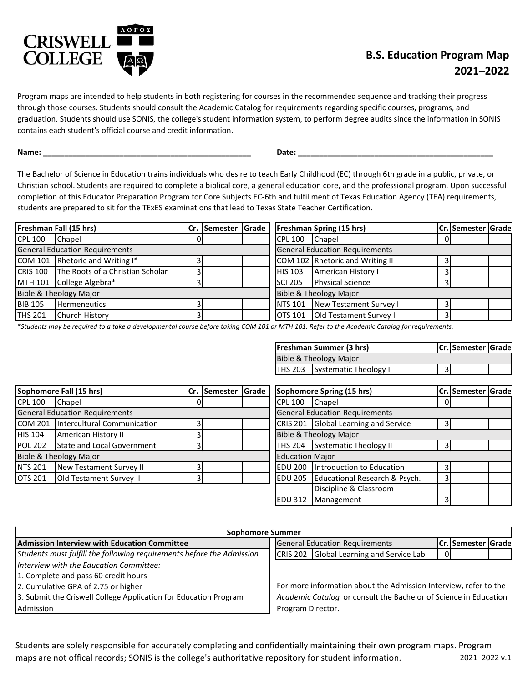

## **B.S. Education Program Map 2021–2022**

Program maps are intended to help students in both registering for courses in the recommended sequence and tracking their progress through those courses. Students should consult the Academic Catalog for requirements regarding specific courses, programs, and graduation. Students should use SONIS, the college's student information system, to perform degree audits since the information in SONIS contains each student's official course and credit information.

**Name: \_\_\_\_\_\_\_\_\_\_\_\_\_\_\_\_\_\_\_\_\_\_\_\_\_\_\_\_\_\_\_\_\_\_\_\_\_\_\_\_\_\_\_\_\_\_\_\_\_ Date: \_\_\_\_\_\_\_\_\_\_\_\_\_\_\_\_\_\_\_\_\_\_\_\_\_\_\_\_\_\_\_\_\_\_\_\_\_\_\_\_\_\_\_\_\_\_**

The Bachelor of Science in Education trains individuals who desire to teach Early Childhood (EC) through 6th grade in a public, private, or Christian school. Students are required to complete a biblical core, a general education core, and the professional program. Upon successful completion of this Educator Preparation Program for Core Subjects EC-6th and fulfillment of Texas Education Agency (TEA) requirements, students are prepared to sit for the TExES examinations that lead to Texas State Teacher Certification.

| Freshman Fall (15 hrs)                |                                           |                                       | Cr. Semester Grade |                | <b>Freshman Spring (15 hrs)</b> |  | Cr. Semester Grade |  |
|---------------------------------------|-------------------------------------------|---------------------------------------|--------------------|----------------|---------------------------------|--|--------------------|--|
| <b>CPL 100</b>                        | Chapel                                    | ΟI                                    |                    | <b>CPL 100</b> | Chapel                          |  |                    |  |
| <b>General Education Requirements</b> |                                           | <b>General Education Requirements</b> |                    |                |                                 |  |                    |  |
|                                       | COM 101 Rhetoric and Writing I*           |                                       |                    |                | COM 102 Rhetoric and Writing II |  |                    |  |
|                                       | CRIS 100 The Roots of a Christian Scholar |                                       |                    | <b>HIS 103</b> | American History I              |  |                    |  |
|                                       | MTH 101 College Algebra*                  |                                       |                    | <b>SCI 205</b> | <b>Physical Science</b>         |  |                    |  |
| Bible & Theology Major                |                                           | Bible & Theology Major                |                    |                |                                 |  |                    |  |
| <b>BIB 105</b>                        | <b>Hermeneutics</b>                       |                                       |                    | <b>NTS 101</b> | New Testament Survey I          |  |                    |  |
| <b>THS 201</b>                        | Church History                            |                                       |                    | <b>OTS 101</b> | Old Testament Survey I          |  |                    |  |

*\*Students may be required to a take a developmental course before taking COM 101 or MTH 101. Refer to the Academic Catalog for requirements.*

| <b>Freshman Summer (3 hrs)</b> |                | Cr. Semester Grade |  |
|--------------------------------|----------------|--------------------|--|
| Bible & Theology Major         |                |                    |  |
| THS 203 Systematic Theology I  | 3 <sup>1</sup> |                    |  |

| Sophomore Fall (15 hrs)               |                             | Cr.                                   | <b>ISemester Grade</b> |                             | Sophomore Spring (15 hrs)         |                               |  | Cr. Semester Grade |  |  |
|---------------------------------------|-----------------------------|---------------------------------------|------------------------|-----------------------------|-----------------------------------|-------------------------------|--|--------------------|--|--|
| <b>CPL 100</b>                        | Chapel                      |                                       |                        |                             | <b>CPL 100</b>                    | Chapel                        |  |                    |  |  |
| <b>General Education Requirements</b> |                             | <b>General Education Requirements</b> |                        |                             |                                   |                               |  |                    |  |  |
| ICOM 201                              | Intercultural Communication |                                       | CRIS 201               | Global Learning and Service |                                   |                               |  |                    |  |  |
| <b>HIS 104</b>                        | American History II         |                                       |                        |                             | <b>Bible &amp; Theology Major</b> |                               |  |                    |  |  |
| <b>POL 202</b>                        | State and Local Government  |                                       |                        |                             | <b>THS 204</b>                    | <b>Systematic Theology II</b> |  |                    |  |  |
|                                       | Bible & Theology Major      |                                       |                        |                             | <b>Education Major</b>            |                               |  |                    |  |  |
| <b>NTS 201</b>                        | New Testament Survey II     |                                       |                        |                             | EDU 200                           | Introduction to Education     |  |                    |  |  |
| <b>OTS 201</b>                        | Old Testament Survey II     |                                       |                        |                             | IEDU 205                          | Educational Research & Psych. |  |                    |  |  |
|                                       |                             |                                       |                        |                             |                                   | Discipline & Classroom        |  |                    |  |  |
|                                       |                             |                                       |                        |                             | IEDU 312                          | Management                    |  |                    |  |  |

| <b>Sophomore Summer</b>                                               |                                                                    |  |  |  |  |  |  |  |  |  |
|-----------------------------------------------------------------------|--------------------------------------------------------------------|--|--|--|--|--|--|--|--|--|
| Admission Interview with Education Committee                          | <b>General Education Requirements</b><br><b>Cr. Semester Grade</b> |  |  |  |  |  |  |  |  |  |
| Students must fulfill the following requirements before the Admission | Global Learning and Service Lab<br>CRIS 202<br>$\Omega$            |  |  |  |  |  |  |  |  |  |
| Interview with the Education Committee:                               |                                                                    |  |  |  |  |  |  |  |  |  |
| 1. Complete and pass 60 credit hours                                  |                                                                    |  |  |  |  |  |  |  |  |  |
| 2. Cumulative GPA of 2.75 or higher                                   | For more information about the Admission Interview, refer to the   |  |  |  |  |  |  |  |  |  |
| 3. Submit the Criswell College Application for Education Program      | Academic Catalog or consult the Bachelor of Science in Education   |  |  |  |  |  |  |  |  |  |
| Admission                                                             | Program Director.                                                  |  |  |  |  |  |  |  |  |  |

Students are solely responsible for accurately completing and confidentially maintaining their own program maps. Program maps are not offical records; SONIS is the college's authoritative repository for student information. 2021–2022 v.1